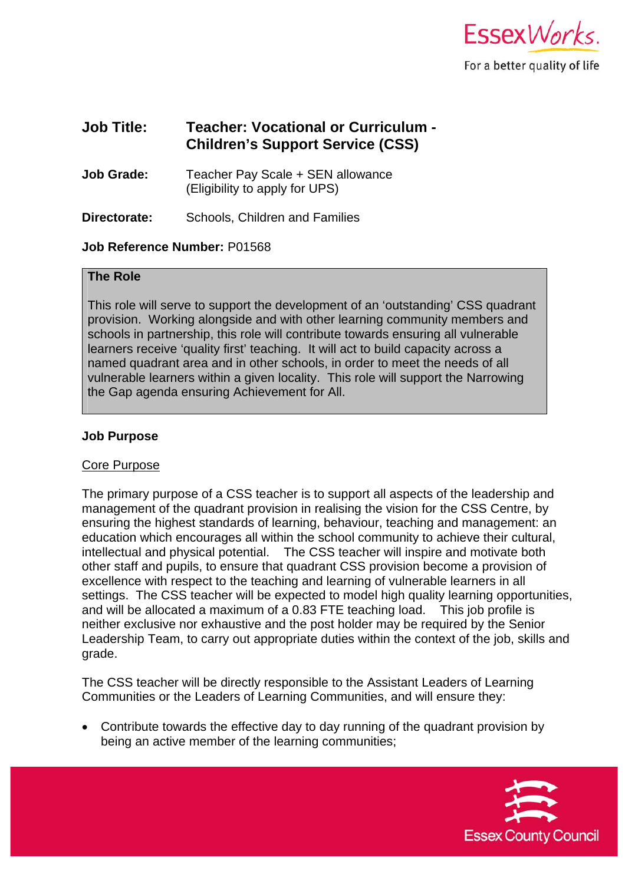

# **Job Title: Teacher: Vocational or Curriculum - Children's Support Service (CSS)**

**Job Grade:** Teacher Pay Scale + SEN allowance (Eligibility to apply for UPS)

**Directorate:** Schools, Children and Families

## **Job Reference Number:** P01568

## **The Role**

This role will serve to support the development of an 'outstanding' CSS quadrant provision. Working alongside and with other learning community members and schools in partnership, this role will contribute towards ensuring all vulnerable learners receive 'quality first' teaching. It will act to build capacity across a named quadrant area and in other schools, in order to meet the needs of all vulnerable learners within a given locality. This role will support the Narrowing the Gap agenda ensuring Achievement for All.

### **Job Purpose**

#### Core Purpose

The primary purpose of a CSS teacher is to support all aspects of the leadership and management of the quadrant provision in realising the vision for the CSS Centre, by ensuring the highest standards of learning, behaviour, teaching and management: an education which encourages all within the school community to achieve their cultural, intellectual and physical potential. The CSS teacher will inspire and motivate both other staff and pupils, to ensure that quadrant CSS provision become a provision of excellence with respect to the teaching and learning of vulnerable learners in all settings. The CSS teacher will be expected to model high quality learning opportunities, and will be allocated a maximum of a 0.83 FTE teaching load. This job profile is neither exclusive nor exhaustive and the post holder may be required by the Senior Leadership Team, to carry out appropriate duties within the context of the job, skills and grade.

The CSS teacher will be directly responsible to the Assistant Leaders of Learning Communities or the Leaders of Learning Communities, and will ensure they:

 Contribute towards the effective day to day running of the quadrant provision by being an active member of the learning communities;

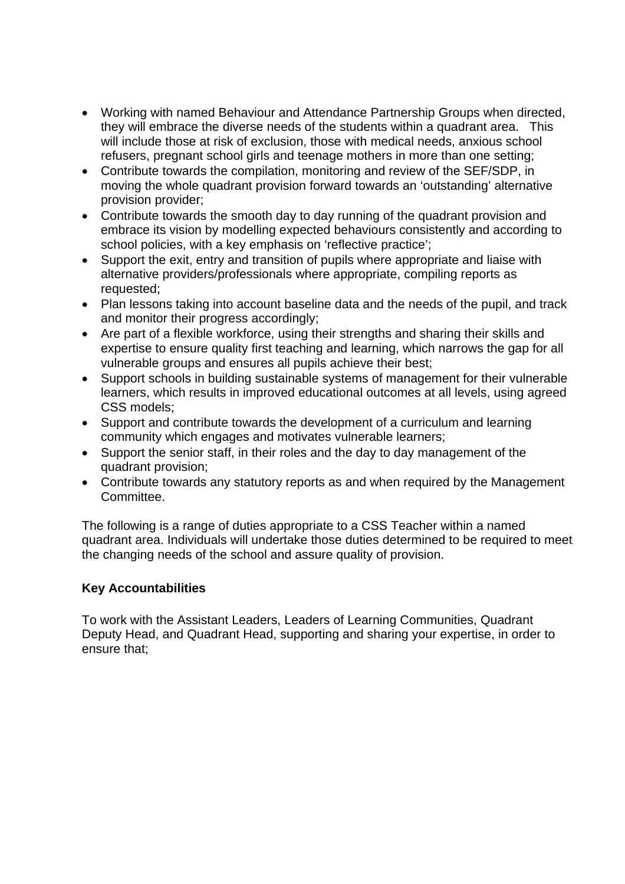- Working with named Behaviour and Attendance Partnership Groups when directed, they will embrace the diverse needs of the students within a quadrant area. This will include those at risk of exclusion, those with medical needs, anxious school refusers, pregnant school girls and teenage mothers in more than one setting;
- Contribute towards the compilation, monitoring and review of the SEF/SDP, in moving the whole quadrant provision forward towards an 'outstanding' alternative provision provider;
- Contribute towards the smooth day to day running of the quadrant provision and embrace its vision by modelling expected behaviours consistently and according to school policies, with a key emphasis on 'reflective practice';
- Support the exit, entry and transition of pupils where appropriate and liaise with alternative providers/professionals where appropriate, compiling reports as requested;
- Plan lessons taking into account baseline data and the needs of the pupil, and track and monitor their progress accordingly;
- Are part of a flexible workforce, using their strengths and sharing their skills and expertise to ensure quality first teaching and learning, which narrows the gap for all vulnerable groups and ensures all pupils achieve their best;
- Support schools in building sustainable systems of management for their vulnerable learners, which results in improved educational outcomes at all levels, using agreed CSS models;
- Support and contribute towards the development of a curriculum and learning community which engages and motivates vulnerable learners;
- Support the senior staff, in their roles and the day to day management of the quadrant provision;
- Contribute towards any statutory reports as and when required by the Management **Committee.**

The following is a range of duties appropriate to a CSS Teacher within a named quadrant area. Individuals will undertake those duties determined to be required to meet the changing needs of the school and assure quality of provision.

# **Key Accountabilities**

To work with the Assistant Leaders, Leaders of Learning Communities, Quadrant Deputy Head, and Quadrant Head, supporting and sharing your expertise, in order to ensure that;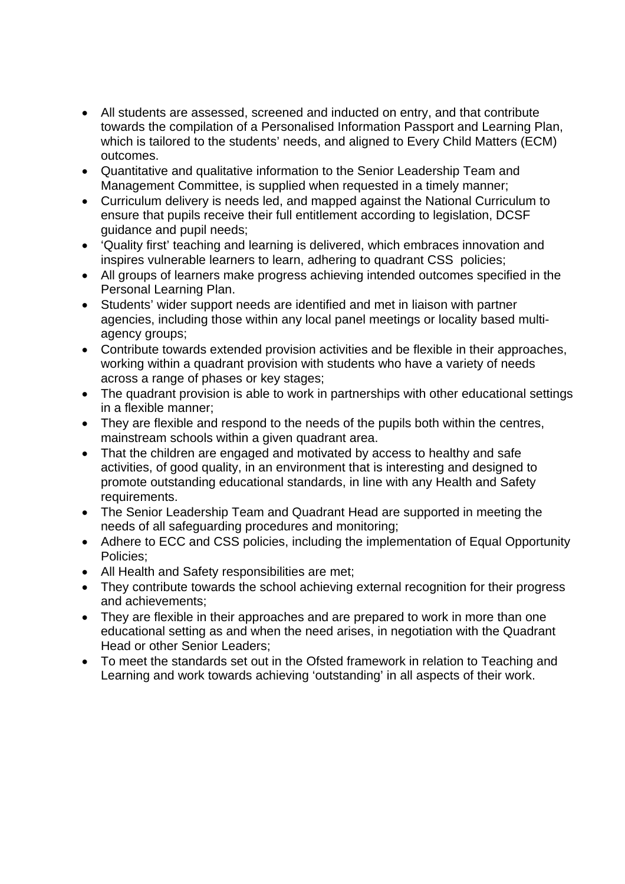- All students are assessed, screened and inducted on entry, and that contribute towards the compilation of a Personalised Information Passport and Learning Plan, which is tailored to the students' needs, and aligned to Every Child Matters (ECM) outcomes.
- Quantitative and qualitative information to the Senior Leadership Team and Management Committee, is supplied when requested in a timely manner;
- Curriculum delivery is needs led, and mapped against the National Curriculum to ensure that pupils receive their full entitlement according to legislation, DCSF guidance and pupil needs;
- 'Quality first' teaching and learning is delivered, which embraces innovation and inspires vulnerable learners to learn, adhering to quadrant CSS policies;
- All groups of learners make progress achieving intended outcomes specified in the Personal Learning Plan.
- Students' wider support needs are identified and met in liaison with partner agencies, including those within any local panel meetings or locality based multiagency groups;
- Contribute towards extended provision activities and be flexible in their approaches, working within a quadrant provision with students who have a variety of needs across a range of phases or key stages;
- The quadrant provision is able to work in partnerships with other educational settings in a flexible manner;
- They are flexible and respond to the needs of the pupils both within the centres, mainstream schools within a given quadrant area.
- That the children are engaged and motivated by access to healthy and safe activities, of good quality, in an environment that is interesting and designed to promote outstanding educational standards, in line with any Health and Safety requirements.
- The Senior Leadership Team and Quadrant Head are supported in meeting the needs of all safeguarding procedures and monitoring;
- Adhere to ECC and CSS policies, including the implementation of Equal Opportunity Policies;
- All Health and Safety responsibilities are met;
- They contribute towards the school achieving external recognition for their progress and achievements;
- They are flexible in their approaches and are prepared to work in more than one educational setting as and when the need arises, in negotiation with the Quadrant Head or other Senior Leaders;
- To meet the standards set out in the Ofsted framework in relation to Teaching and Learning and work towards achieving 'outstanding' in all aspects of their work.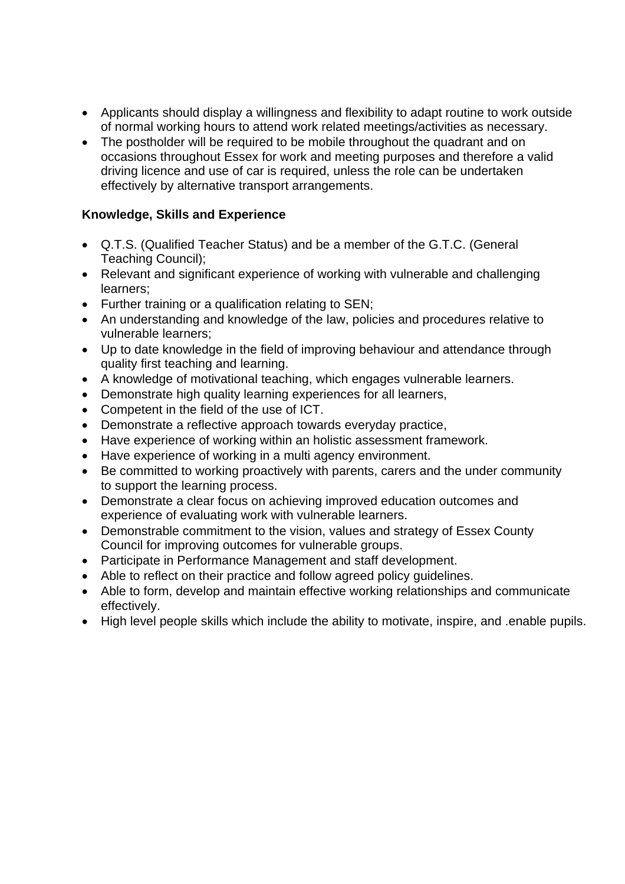- Applicants should display a willingness and flexibility to adapt routine to work outside of normal working hours to attend work related meetings/activities as necessary.
- The postholder will be required to be mobile throughout the quadrant and on occasions throughout Essex for work and meeting purposes and therefore a valid driving licence and use of car is required, unless the role can be undertaken effectively by alternative transport arrangements.

# **Knowledge, Skills and Experience**

- Q.T.S. (Qualified Teacher Status) and be a member of the G.T.C. (General Teaching Council);
- Relevant and significant experience of working with vulnerable and challenging learners;
- Further training or a qualification relating to SEN;
- An understanding and knowledge of the law, policies and procedures relative to vulnerable learners;
- Up to date knowledge in the field of improving behaviour and attendance through quality first teaching and learning.
- A knowledge of motivational teaching, which engages vulnerable learners.
- Demonstrate high quality learning experiences for all learners,
- Competent in the field of the use of ICT.
- Demonstrate a reflective approach towards everyday practice,
- Have experience of working within an holistic assessment framework.
- Have experience of working in a multi agency environment.
- Be committed to working proactively with parents, carers and the under community to support the learning process.
- Demonstrate a clear focus on achieving improved education outcomes and experience of evaluating work with vulnerable learners.
- Demonstrable commitment to the vision, values and strategy of Essex County Council for improving outcomes for vulnerable groups.
- Participate in Performance Management and staff development.
- Able to reflect on their practice and follow agreed policy guidelines.
- Able to form, develop and maintain effective working relationships and communicate effectively.
- High level people skills which include the ability to motivate, inspire, and .enable pupils.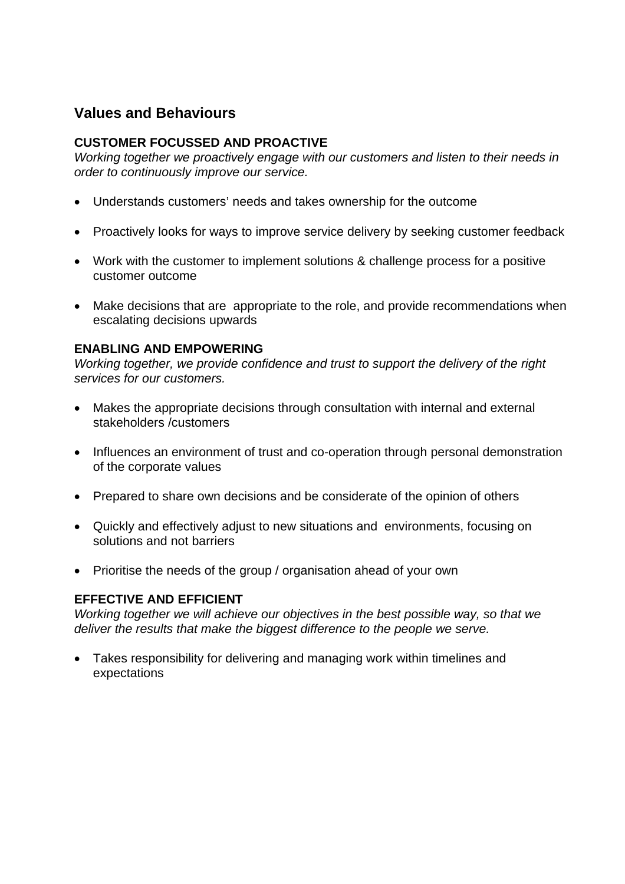# **Values and Behaviours**

# **CUSTOMER FOCUSSED AND PROACTIVE**

*Working together we proactively engage with our customers and listen to their needs in order to continuously improve our service.* 

- Understands customers' needs and takes ownership for the outcome
- Proactively looks for ways to improve service delivery by seeking customer feedback
- Work with the customer to implement solutions & challenge process for a positive customer outcome
- Make decisions that are appropriate to the role, and provide recommendations when escalating decisions upwards

## **ENABLING AND EMPOWERING**

*Working together, we provide confidence and trust to support the delivery of the right services for our customers.* 

- Makes the appropriate decisions through consultation with internal and external stakeholders /customers
- Influences an environment of trust and co-operation through personal demonstration of the corporate values
- Prepared to share own decisions and be considerate of the opinion of others
- Quickly and effectively adjust to new situations and environments, focusing on solutions and not barriers
- Prioritise the needs of the group / organisation ahead of your own

## **EFFECTIVE AND EFFICIENT**

*Working together we will achieve our objectives in the best possible way, so that we deliver the results that make the biggest difference to the people we serve.* 

 Takes responsibility for delivering and managing work within timelines and expectations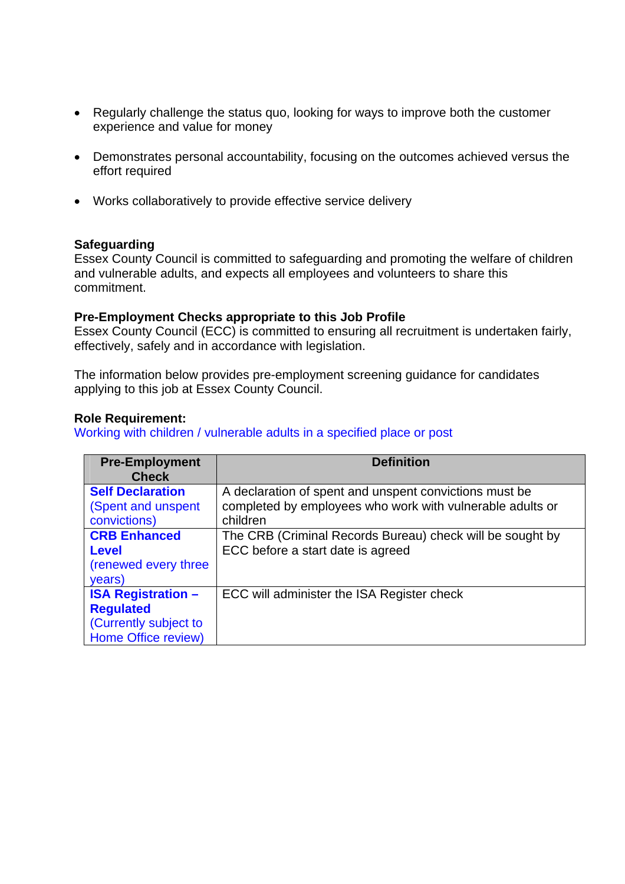- Regularly challenge the status quo, looking for ways to improve both the customer experience and value for money
- Demonstrates personal accountability, focusing on the outcomes achieved versus the effort required
- Works collaboratively to provide effective service delivery

### **Safeguarding**

Essex County Council is committed to safeguarding and promoting the welfare of children and vulnerable adults, and expects all employees and volunteers to share this commitment.

### **Pre-Employment Checks appropriate to this Job Profile**

Essex County Council (ECC) is committed to ensuring all recruitment is undertaken fairly, effectively, safely and in accordance with legislation.

The information below provides pre-employment screening guidance for candidates applying to this job at Essex County Council.

### **Role Requirement:**

Working with children / vulnerable adults in a specified place or post

| <b>Pre-Employment</b><br><b>Check</b>                                                         | <b>Definition</b>                                                                                                   |
|-----------------------------------------------------------------------------------------------|---------------------------------------------------------------------------------------------------------------------|
| <b>Self Declaration</b><br>(Spent and unspent                                                 | A declaration of spent and unspent convictions must be<br>completed by employees who work with vulnerable adults or |
| convictions)<br><b>CRB Enhanced</b><br><b>Level</b>                                           | children<br>The CRB (Criminal Records Bureau) check will be sought by<br>ECC before a start date is agreed          |
| (renewed every three<br>years)                                                                |                                                                                                                     |
| <b>ISA Registration -</b><br><b>Regulated</b><br>(Currently subject to<br>Home Office review) | ECC will administer the ISA Register check                                                                          |